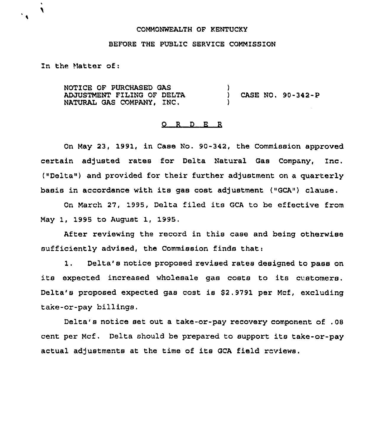### COMMONWEALTH OF KENTUCKY

### BEFORE THE PUBLIC SERVICE COMMISSION

In the Matter of:

٦

NOTICE OF PURCHASED GAS ADJUSTMENT FILING OF DELTA NATURAL GAS COMPANY, INC,

) CASE NO. 90-342-P

## O R D E R

)

)

On May 23, 1991, in Case No. 90-342, the Commission approved certain adjusted rates for Delta Natural Gas Company, Inc. ("Delta") and provided for their further adjustment on a quarterly basis in accordance with its gas cost adjustment ("GCA") clause.

On March 27, 1995, Delta filed its GCA to be effective from May 1, 1995 to August 1, 1995.

After reviewing the record in this case and being otherwise sufficiently advised, the Commission finds that:

1. Delta's notice proposed revised rates designed to pass on its expected increased wholesale gas costs to its customers. Delta's proposed expected gas cost is 52.9791 per Mcf, excluding take-or-pay billings.

Delta's notice set out a take-or-pay recovery component of .08 cent per Mcf. Delta should be prepared to support its take-or-pay actual adjustments at the time of its GCA field reviews.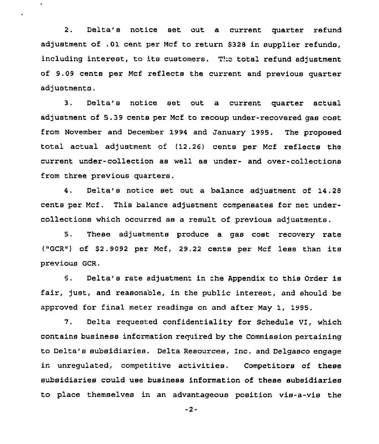2. Delta's notice set out a current quarter refund adjustment of .01 cent per Mcf to return \$328 in supplier refunds, including interest, to its customers. T!:c total refund adjustment of 9.09 cents per Mcf reflects the current and previous quarter adjustments.

 $\bullet$ 

3. Delta's notice set out a current quarter actual adjustment of 5.39 cents per Mcf to recoup under-recovered gas cost from November and December 1994 and January 1995. The proposed total actual adjustment of (12.26) cents per Mcf reflects the current under-collection as well as under- and over-collections from three previous quarters.

4. Delta's notice set out a balance adjustment of 14.28 cents per Mcf. This balance adjustment compensates for net undercollections which occurred as a result of previous adjustments.

5, These adjustments produce a gas cost recovery rate ("GCR") of \$2.9092 per Mcf, 29.22 cents per Mcf less than its previous GCR.

 $5.$ Delta's rate adjustment in the Appendix to this Order is fair, just, and reasonable, in the public interest, and should be approved for final meter readings on and after May 1, 1995,

7. Delta requested confidentiality for Schedule Ul, which contains business information required by the Commission pertaining to Delta's subsidiaries. Delta Resources, Inc. and Delgasco engage in unregulated, competitive activities. Competitors of these subsidiaries could use business information of these subsidiaries to place themselves in an advantageous position vis-a-vis the

-2-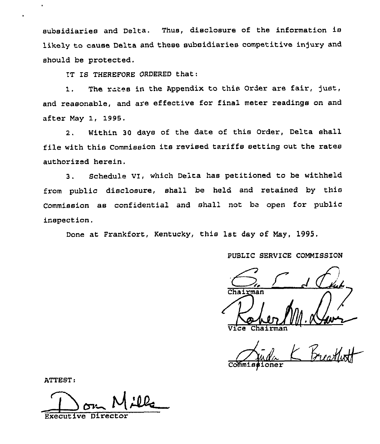subsidiaries and Delta. Thus, disclosure of the information is likely to cause Delta and these subsidiaries competitive injury and should be protected,

IT IS THEREFORE ORDERED that:

1. The rates in the Appendix to this Order are fair, just, and reasonable, and are effective for final meter readings on and after May 1, 1995.

2. Within 30 days of the date of this Order, Delta shall file with this Commission its revised tariffs setting out the rates authorized herein.

3. Schedule vI, which Delta has petitioned to be withheld from public disclosure, shall be held and retained by this Commission as confidential and shall not be open for public inspection.

Done at Frankfort, Kentucky, this 1st day of May, 1995.

PUBLIC SERVICE COMMISSION

Chairman hai <del>r</del>man

ioner

ATTEST:

Wl

Executive Direc